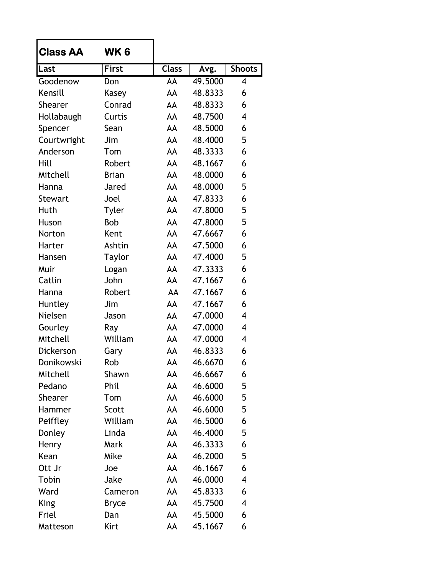| <b>Class AA</b>  | WK 6         |              |         |               |
|------------------|--------------|--------------|---------|---------------|
| Last             | <b>First</b> | <b>Class</b> | Avg.    | <b>Shoots</b> |
| Goodenow         | Don          | AA           | 49.5000 | 4             |
| Kensill          | Kasey        | AA           | 48.8333 | 6             |
| <b>Shearer</b>   | Conrad       | AA           | 48.8333 | 6             |
| Hollabaugh       | Curtis       | AA           | 48.7500 | 4             |
| Spencer          | Sean         | AA           | 48.5000 | 6             |
| Courtwright      | Jim          | AA           | 48.4000 | 5             |
| Anderson         | Tom          | AA           | 48.3333 | 6             |
| Hill             | Robert       | AA           | 48.1667 | 6             |
| Mitchell         | <b>Brian</b> | AA           | 48.0000 | 6             |
| Hanna            | Jared        | AA           | 48.0000 | 5             |
| <b>Stewart</b>   | Joel         | AA           | 47.8333 | 6             |
| Huth             | <b>Tyler</b> | AA           | 47.8000 | 5             |
| Huson            | <b>Bob</b>   | AA           | 47.8000 | 5             |
| Norton           | Kent         | AA           | 47.6667 | 6             |
| Harter           | Ashtin       | AA           | 47.5000 | 6             |
| Hansen           | Taylor       | AA           | 47.4000 | 5             |
| Muir             | Logan        | AA           | 47.3333 | 6             |
| Catlin           | John         | AA           | 47.1667 | 6             |
| Hanna            | Robert       | AA           | 47.1667 | 6             |
| Huntley          | Jim          | AA           | 47.1667 | 6             |
| Nielsen          | Jason        | AA           | 47.0000 | 4             |
| Gourley          | Ray          | AA           | 47.0000 | 4             |
| Mitchell         | William      | AA           | 47.0000 | 4             |
| <b>Dickerson</b> | Gary         | AA           | 46.8333 | 6             |
| Donikowski       | Rob          | AA           | 46.6670 | 6             |
| Mitchell         | Shawn        | AA           | 46.6667 | 6             |
| Pedano           | Phil         | AA           | 46.6000 | 5             |
| Shearer          | Tom          | AA           | 46.6000 | 5             |
| Hammer           | Scott        | AA           | 46.6000 | 5             |
| Peiffley         | William      | AA           | 46.5000 | 6             |
| Donley           | Linda        | AA           | 46.4000 | 5             |
| Henry            | Mark         | AA           | 46.3333 | 6             |
| Kean             | Mike         | AA           | 46.2000 | 5             |
| Ott Jr           | Joe          | AA           | 46.1667 | 6             |
| Tobin            | Jake         | AA           | 46.0000 | 4             |
| Ward             | Cameron      | AA           | 45.8333 | 6             |
| <b>King</b>      | <b>Bryce</b> | AA           | 45.7500 | 4             |
| Friel            | Dan          | AA           | 45.5000 | 6             |
| Matteson         | Kirt         | AA           | 45.1667 | 6             |